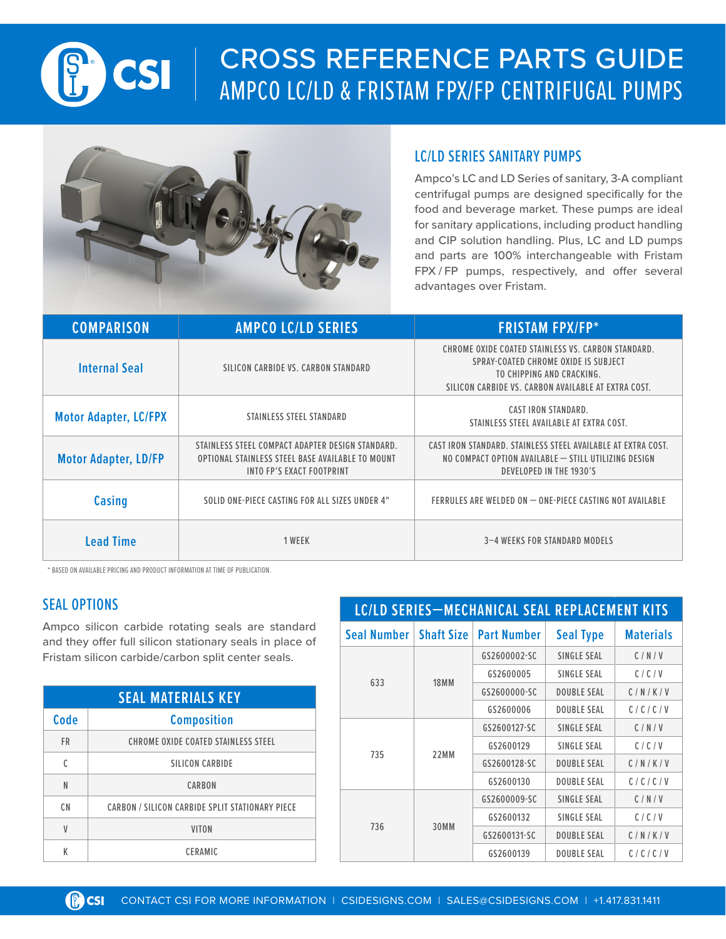

## CROSS REFERENCE PARTS GUIDE AMPCO LC/LD & FRISTAM FPX/FP CENTRIFUGAL PUMPS



## LC/LD SERIES SANITARY PUMPS

Ampco's LC and LD Series of sanitary, 3-A compliant centrifugal pumps are designed specifically for the food and beverage market. These pumps are ideal for sanitary applications, including product handling and CIP solution handling. Plus, LC and LD pumps and parts are 100% interchangeable with Fristam FPX / FP pumps, respectively, and offer several advantages over Fristam.

| <b>COMPARISON</b>            | <b>AMPCO LC/LD SERIES</b>                                                                                                         | <b>FRISTAM FPX/FP*</b>                                                                                                                                                         |  |
|------------------------------|-----------------------------------------------------------------------------------------------------------------------------------|--------------------------------------------------------------------------------------------------------------------------------------------------------------------------------|--|
| <b>Internal Seal</b>         | SILICON CARBIDE VS. CARBON STANDARD                                                                                               | CHROME OXIDE COATED STAINLESS VS. CARBON STANDARD.<br>SPRAY-COATED CHROME OXIDE IS SUBJECT<br>TO CHIPPING AND CRACKING.<br>SILICON CARBIDE VS. CARBON AVAILABLE AT EXTRA COST. |  |
| <b>Motor Adapter, LC/FPX</b> | STAINLESS STEEL STANDARD                                                                                                          | <b>CAST IRON STANDARD.</b><br>STAINLESS STEEL AVAILABLE AT EXTRA COST.                                                                                                         |  |
| <b>Motor Adapter, LD/FP</b>  | STAINLESS STEEL COMPACT ADAPTER DESIGN STANDARD.<br>OPTIONAL STAINLESS STEEL BASE AVAILABLE TO MOUNT<br>INTO FP'S EXACT FOOTPRINT | CAST IRON STANDARD. STAINLESS STEEL AVAILABLE AT EXTRA COST.<br>NO COMPACT OPTION AVAILABLE - STILL UTILIZING DESIGN<br>DEVELOPED IN THE 1930'S                                |  |
| Casing                       | SOLID ONE-PIECE CASTING FOR ALL SIZES UNDER 4"                                                                                    | FERRULES ARE WELDED ON - ONE-PIECE CASTING NOT AVAILABLE                                                                                                                       |  |
| <b>Lead Time</b>             | 1 WEEK                                                                                                                            | 3-4 WEEKS FOR STANDARD MODELS                                                                                                                                                  |  |

\* BASED ON AVAILABLE PRICING AND PRODUCT INFORMATION AT TIME OF PUBLICATION.

## SEAL OPTIONS

Ampco silicon carbide rotating seals are standard and they offer full silicon stationary seals in place of Fristam silicon carbide/carbon split center seals.

| <b>SEAL MATERIALS KEY</b> |                                                 |  |
|---------------------------|-------------------------------------------------|--|
| Code                      | <b>Composition</b>                              |  |
| <b>FR</b>                 | CHROME OXIDE COATED STAINLESS STEEL             |  |
| C                         | SILICON CARBIDE                                 |  |
| N                         | CARBON                                          |  |
| C <sub>N</sub>            | CARBON / SILICON CARBIDE SPLIT STATIONARY PIECE |  |
| V                         | <b>VITON</b>                                    |  |
| K                         | <b>CERAMIC</b>                                  |  |

| <b>LC/LD SERIES-MECHANICAL SEAL REPLACEMENT KITS</b> |                   |                    |                    |                  |
|------------------------------------------------------|-------------------|--------------------|--------------------|------------------|
| <b>Seal Number</b>                                   | <b>Shaft Size</b> | <b>Part Number</b> | <b>Seal Type</b>   | <b>Materials</b> |
| 633                                                  |                   | GS2600002-SC       | SINGLE SEAL        | C/N/V            |
|                                                      | <b>18MM</b>       | GS2600005          | SINGLE SEAL        | C/C/V            |
|                                                      |                   | GS2600000-SC       | <b>DOUBLE SEAL</b> | C/N/K/V          |
|                                                      |                   | GS2600006          | <b>DOUBLE SEAL</b> | C/C/C/V          |
| 735                                                  | 22MM              | GS2600127-SC       | SINGLE SEAL        | C/N/V            |
|                                                      |                   | GS2600129          | SINGLE SEAL        | C/C/V            |
|                                                      |                   | GS2600128-SC       | <b>DOUBLE SEAL</b> | C/N/K/V          |
|                                                      |                   | GS2600130          | <b>DOUBLE SEAL</b> | C/C/C/V          |
|                                                      | 30MM              | GS2600009-SC       | SINGLE SEAL        | C/N/V            |
|                                                      |                   | GS2600132          | SINGLE SEAL        | C/C/V            |
| 736                                                  |                   | GS2600131-SC       | <b>DOUBLE SEAL</b> | C/N/K/V          |
|                                                      |                   | GS2600139          | <b>DOUBLE SEAL</b> | C/C/C/V          |